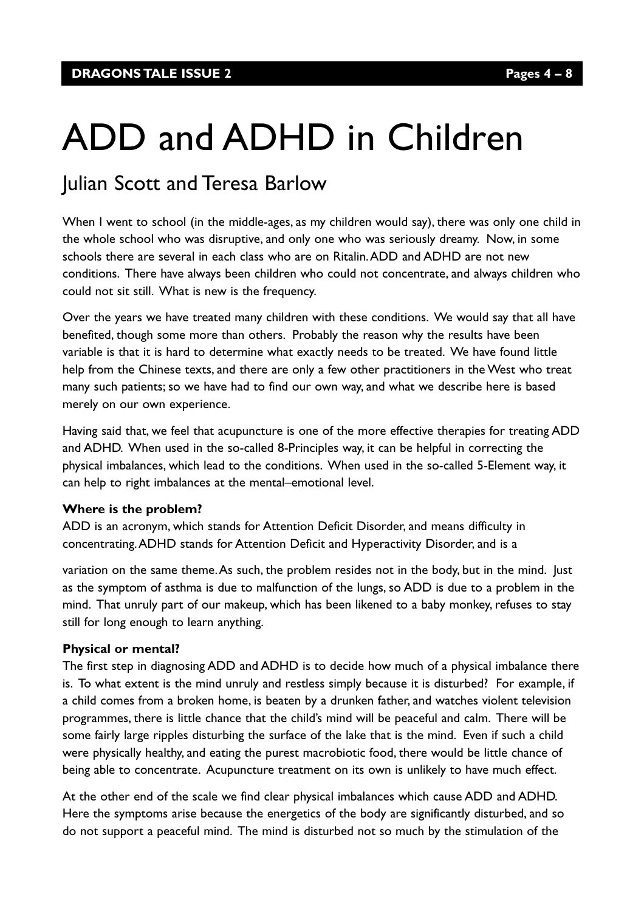# ADD and ADHD in Children

# Julian Scott and Teresa Barlow

When I went to school (in the middle-ages, as my children would say), there was only one child in the whole school who was disruptive, and only one who was seriously dreamy. Now, in some schools there are several in each class who are on Ritalin.ADD and ADHD are not new conditions. There have always been children who could not concentrate, and always children who could not sit still. What is new is the frequency.

Over the years we have treated many children with these conditions. We would say that all have benefited, though some more than others. Probably the reason why the results have been variable is that it is hard to determine what exactly needs to be treated. We have found little help from the Chinese texts, and there are only a few other practitioners in the West who treat many such patients; so we have had to find our own way, and what we describe here is based merely on our own experience.

Having said that, we feel that acupuncture is one of the more effective therapies for treating ADD and ADHD. When used in the so-called 8-Principles way, it can be helpful in correcting the physical imbalances, which lead to the conditions. When used in the so-called 5-Element way, it can help to right imbalances at the mental–emotional level.

#### **Where is the problem?**

ADD is an acronym, which stands for Attention Deficit Disorder, and means difficulty in concentrating.ADHD stands for Attention Deficit and Hyperactivity Disorder, and is a

variation on the same theme.As such, the problem resides not in the body, but in the mind. Just as the symptom of asthma is due to malfunction of the lungs, so ADD is due to a problem in the mind. That unruly part of our makeup, which has been likened to a baby monkey, refuses to stay still for long enough to learn anything.

#### **Physical or mental?**

The first step in diagnosing ADD and ADHD is to decide how much of a physical imbalance there is. To what extent is the mind unruly and restless simply because it is disturbed? For example, if a child comes from a broken home, is beaten by a drunken father, and watches violent television programmes, there is little chance that the child's mind will be peaceful and calm. There will be some fairly large ripples disturbing the surface of the lake that is the mind. Even if such a child were physically healthy, and eating the purest macrobiotic food, there would be little chance of being able to concentrate. Acupuncture treatment on its own is unlikely to have much effect.

At the other end of the scale we find clear physical imbalances which cause ADD and ADHD. Here the symptoms arise because the energetics of the body are significantly disturbed, and so do not support a peaceful mind. The mind is disturbed not so much by the stimulation of the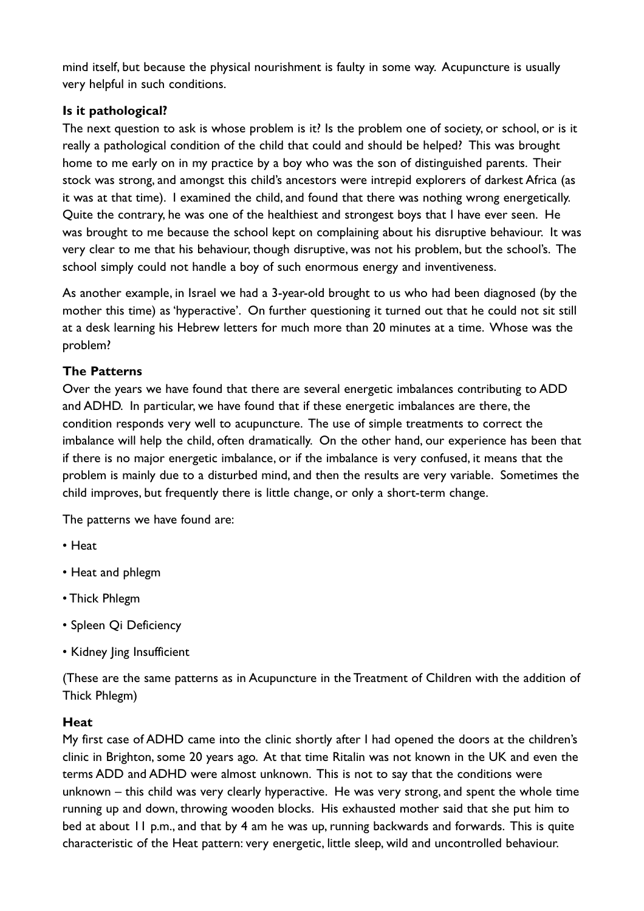mind itself, but because the physical nourishment is faulty in some way. Acupuncture is usually very helpful in such conditions.

### **Is it pathological?**

The next question to ask is whose problem is it? Is the problem one of society, or school, or is it really a pathological condition of the child that could and should be helped? This was brought home to me early on in my practice by a boy who was the son of distinguished parents. Their stock was strong, and amongst this child's ancestors were intrepid explorers of darkest Africa (as it was at that time). I examined the child, and found that there was nothing wrong energetically. Quite the contrary, he was one of the healthiest and strongest boys that I have ever seen. He was brought to me because the school kept on complaining about his disruptive behaviour. It was very clear to me that his behaviour, though disruptive, was not his problem, but the school's. The school simply could not handle a boy of such enormous energy and inventiveness.

As another example, in Israel we had a 3-year-old brought to us who had been diagnosed (by the mother this time) as 'hyperactive'. On further questioning it turned out that he could not sit still at a desk learning his Hebrew letters for much more than 20 minutes at a time. Whose was the problem?

## **The Patterns**

Over the years we have found that there are several energetic imbalances contributing to ADD and ADHD. In particular, we have found that if these energetic imbalances are there, the condition responds very well to acupuncture. The use of simple treatments to correct the imbalance will help the child, often dramatically. On the other hand, our experience has been that if there is no major energetic imbalance, or if the imbalance is very confused, it means that the problem is mainly due to a disturbed mind, and then the results are very variable. Sometimes the child improves, but frequently there is little change, or only a short-term change.

The patterns we have found are:

- Heat
- Heat and phlegm
- Thick Phlegm
- Spleen Qi Deficiency
- Kidney Jing Insufficient

(These are the same patterns as in Acupuncture in the Treatment of Children with the addition of Thick Phlegm)

#### **Heat**

My first case of ADHD came into the clinic shortly after I had opened the doors at the children's clinic in Brighton, some 20 years ago. At that time Ritalin was not known in the UK and even the terms ADD and ADHD were almost unknown. This is not to say that the conditions were unknown – this child was very clearly hyperactive. He was very strong, and spent the whole time running up and down, throwing wooden blocks. His exhausted mother said that she put him to bed at about 11 p.m., and that by 4 am he was up, running backwards and forwards. This is quite characteristic of the Heat pattern: very energetic, little sleep, wild and uncontrolled behaviour.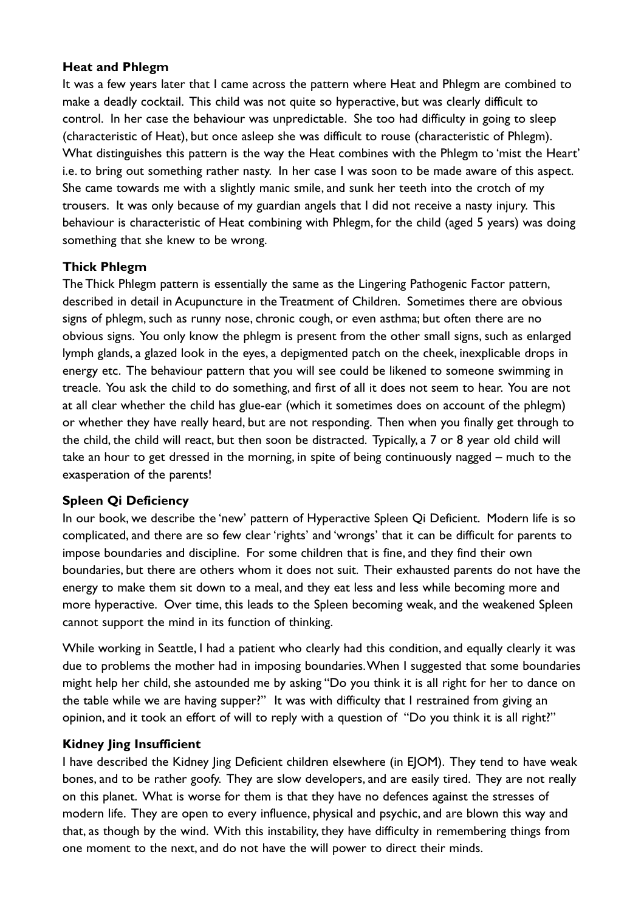#### **Heat and Phlegm**

It was a few years later that I came across the pattern where Heat and Phlegm are combined to make a deadly cocktail. This child was not quite so hyperactive, but was clearly difficult to control. In her case the behaviour was unpredictable. She too had difficulty in going to sleep (characteristic of Heat), but once asleep she was difficult to rouse (characteristic of Phlegm). What distinguishes this pattern is the way the Heat combines with the Phlegm to 'mist the Heart' i.e. to bring out something rather nasty. In her case I was soon to be made aware of this aspect. She came towards me with a slightly manic smile, and sunk her teeth into the crotch of my trousers. It was only because of my guardian angels that I did not receive a nasty injury. This behaviour is characteristic of Heat combining with Phlegm, for the child (aged 5 years) was doing something that she knew to be wrong.

#### **Thick Phlegm**

The Thick Phlegm pattern is essentially the same as the Lingering Pathogenic Factor pattern, described in detail in Acupuncture in the Treatment of Children. Sometimes there are obvious signs of phlegm, such as runny nose, chronic cough, or even asthma; but often there are no obvious signs. You only know the phlegm is present from the other small signs, such as enlarged lymph glands, a glazed look in the eyes, a depigmented patch on the cheek, inexplicable drops in energy etc. The behaviour pattern that you will see could be likened to someone swimming in treacle. You ask the child to do something, and first of all it does not seem to hear. You are not at all clear whether the child has glue-ear (which it sometimes does on account of the phlegm) or whether they have really heard, but are not responding. Then when you finally get through to the child, the child will react, but then soon be distracted. Typically, a 7 or 8 year old child will take an hour to get dressed in the morning, in spite of being continuously nagged – much to the exasperation of the parents!

#### **Spleen Qi Deficiency**

In our book, we describe the 'new' pattern of Hyperactive Spleen Qi Deficient. Modern life is so complicated, and there are so few clear 'rights' and 'wrongs' that it can be difficult for parents to impose boundaries and discipline. For some children that is fine, and they find their own boundaries, but there are others whom it does not suit. Their exhausted parents do not have the energy to make them sit down to a meal, and they eat less and less while becoming more and more hyperactive. Over time, this leads to the Spleen becoming weak, and the weakened Spleen cannot support the mind in its function of thinking.

While working in Seattle, I had a patient who clearly had this condition, and equally clearly it was due to problems the mother had in imposing boundaries.When I suggested that some boundaries might help her child, she astounded me by asking "Do you think it is all right for her to dance on the table while we are having supper?" It was with difficulty that I restrained from giving an opinion, and it took an effort of will to reply with a question of "Do you think it is all right?"

#### **Kidney Jing Insufficient**

I have described the Kidney ling Deficient children elsewhere (in E|OM). They tend to have weak bones, and to be rather goofy. They are slow developers, and are easily tired. They are not really on this planet. What is worse for them is that they have no defences against the stresses of modern life. They are open to every influence, physical and psychic, and are blown this way and that, as though by the wind. With this instability, they have difficulty in remembering things from one moment to the next, and do not have the will power to direct their minds.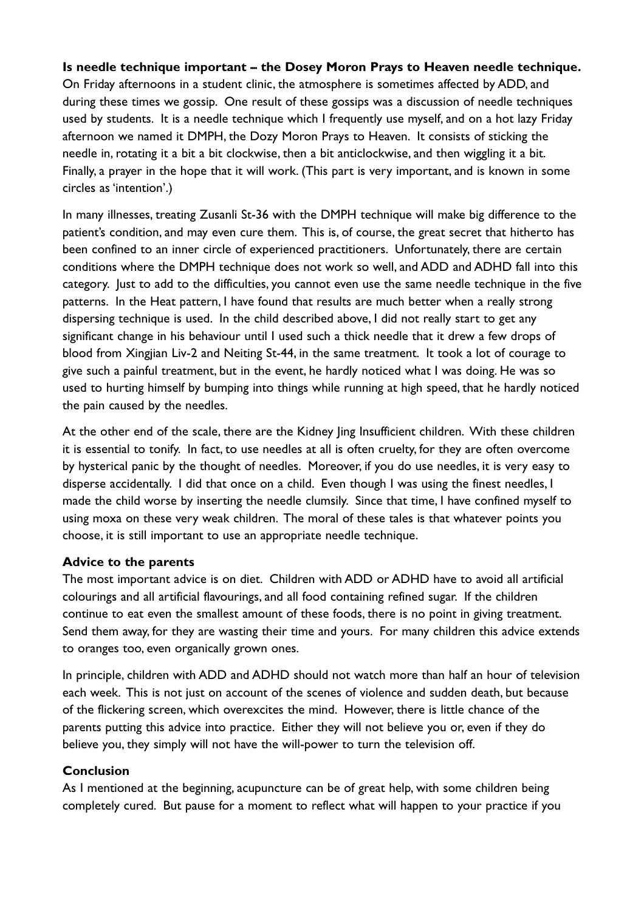#### **Is needle technique important – the Dosey Moron Prays to Heaven needle technique.**

On Friday afternoons in a student clinic, the atmosphere is sometimes affected by ADD, and during these times we gossip. One result of these gossips was a discussion of needle techniques used by students. It is a needle technique which I frequently use myself, and on a hot lazy Friday afternoon we named it DMPH, the Dozy Moron Prays to Heaven. It consists of sticking the needle in, rotating it a bit a bit clockwise, then a bit anticlockwise, and then wiggling it a bit. Finally, a prayer in the hope that it will work. (This part is very important, and is known in some circles as 'intention'.)

In many illnesses, treating Zusanli St-36 with the DMPH technique will make big difference to the patient's condition, and may even cure them. This is, of course, the great secret that hitherto has been confined to an inner circle of experienced practitioners. Unfortunately, there are certain conditions where the DMPH technique does not work so well, and ADD and ADHD fall into this category. Just to add to the difficulties, you cannot even use the same needle technique in the five patterns. In the Heat pattern, I have found that results are much better when a really strong dispersing technique is used. In the child described above, I did not really start to get any significant change in his behaviour until I used such a thick needle that it drew a few drops of blood from Xingjian Liv-2 and Neiting St-44, in the same treatment. It took a lot of courage to give such a painful treatment, but in the event, he hardly noticed what I was doing. He was so used to hurting himself by bumping into things while running at high speed, that he hardly noticed the pain caused by the needles.

At the other end of the scale, there are the Kidney ling Insufficient children. With these children it is essential to tonify. In fact, to use needles at all is often cruelty, for they are often overcome by hysterical panic by the thought of needles. Moreover, if you do use needles, it is very easy to disperse accidentally. I did that once on a child. Even though I was using the finest needles, I made the child worse by inserting the needle clumsily. Since that time, I have confined myself to using moxa on these very weak children. The moral of these tales is that whatever points you choose, it is still important to use an appropriate needle technique.

#### **Advice to the parents**

The most important advice is on diet. Children with ADD or ADHD have to avoid all artificial colourings and all artificial flavourings, and all food containing refined sugar. If the children continue to eat even the smallest amount of these foods, there is no point in giving treatment. Send them away, for they are wasting their time and yours. For many children this advice extends to oranges too, even organically grown ones.

In principle, children with ADD and ADHD should not watch more than half an hour of television each week. This is not just on account of the scenes of violence and sudden death, but because of the flickering screen, which overexcites the mind. However, there is little chance of the parents putting this advice into practice. Either they will not believe you or, even if they do believe you, they simply will not have the will-power to turn the television off.

#### **Conclusion**

As I mentioned at the beginning, acupuncture can be of great help, with some children being completely cured. But pause for a moment to reflect what will happen to your practice if you